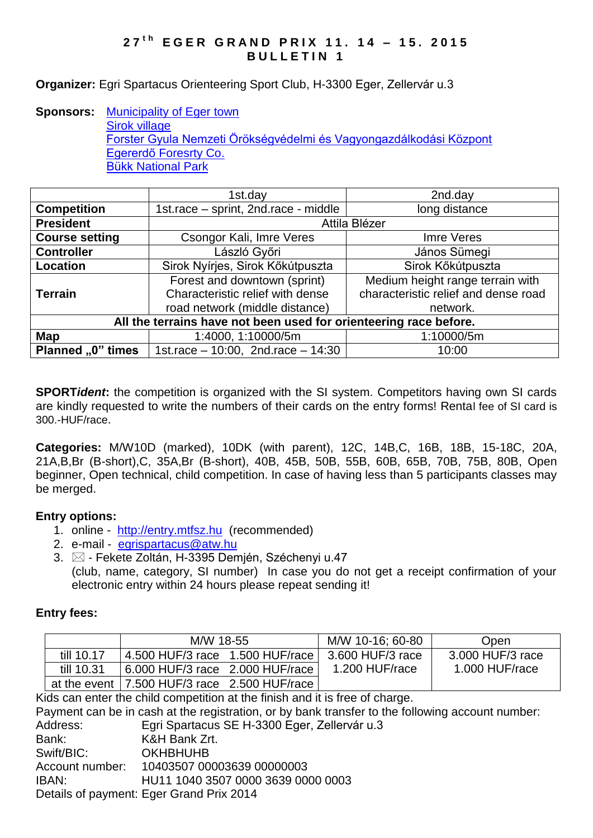### **2 7 t h E G E R G R A N D P R I X 1 1 . 1 4 – 1 5 . 2 0 1 5 BULLETIN 1**

#### **Organizer:** Egri Spartacus Orienteering Sport Club, H-3300 Eger, Zellervár u.3

#### **Sponsors:** [Municipality of Eger town](http://www.eger.hu/?lang=2) Sirok [village](http://www.sirok.hu/hirek/index.php) [Forster Gyula Nemzeti Örökségvédelmi és Vagyongazdálkodási Központ](http://www.koh.hu/) [Egererdő Foresrty Co.](http://client4.springmedia.hu/) Bükk [National](http://en.bnpi.hu/) Park

|                                                                   | 1st.day                               | 2nd.day                              |  |  |  |
|-------------------------------------------------------------------|---------------------------------------|--------------------------------------|--|--|--|
| <b>Competition</b>                                                | 1st.race - sprint, 2nd.race - middle  | long distance                        |  |  |  |
| <b>President</b>                                                  | Attila Blézer                         |                                      |  |  |  |
| <b>Course setting</b>                                             | Csongor Kali, Imre Veres              | Imre Veres                           |  |  |  |
| <b>Controller</b>                                                 | László Győri                          | János Sümegi                         |  |  |  |
| <b>Location</b>                                                   | Sirok Nyírjes, Sirok Kőkútpuszta      | Sirok Kőkútpuszta                    |  |  |  |
|                                                                   | Forest and downtown (sprint)          | Medium height range terrain with     |  |  |  |
| <b>Terrain</b>                                                    | Characteristic relief with dense      | characteristic relief and dense road |  |  |  |
|                                                                   | road network (middle distance)        | network.                             |  |  |  |
| All the terrains have not been used for orienteering race before. |                                       |                                      |  |  |  |
| Map                                                               | 1:4000, 1:10000/5m                    | 1:10000/5m                           |  |  |  |
| Planned "0" times                                                 | 1st.race $-10:00$ , 2nd.race $-14:30$ | 10:00                                |  |  |  |

**SPORT***ident*: the competition is organized with the SI system. Competitors having own SI cards are kindly requested to write the numbers of their cards on the entry forms! Rental fee of SI card is 300.-HUF/race.

**Categories:** M/W10D (marked), 10DK (with parent), 12C, 14B,C, 16B, 18B, 15-18C, 20A, 21A,B,Br (B-short),C, 35A,Br (B-short), 40B, 45B, 50B, 55B, 60B, 65B, 70B, 75B, 80B, Open beginner, Open technical, child competition. In case of having less than 5 participants classes may be merged.

#### **Entry options:**

- 1. online [http://entry.mtfsz.hu](http://entry.mtfsz.hu/) (recommended)
- 2. e-mail [egrispartacus@atw.hu](mailto:egrispartacus@atw.hu)
- 3.  $\boxtimes$  Fekete Zoltán, H-3395 Demjén, Széchenyi u.47 (club, name, category, SI number) In case you do not get a receipt confirmation of your electronic entry within 24 hours please repeat sending it!

#### **Entry fees:**

|            | M/W 18-55                                      |  | M/W 10-16: 60-80 | Open             |
|------------|------------------------------------------------|--|------------------|------------------|
| till 10.17 | 4.500 HUF/3 race 1.500 HUF/race                |  | 3.600 HUF/3 race | 3.000 HUF/3 race |
| till 10.31 | $6.000$ HUF/3 race $2.000$ HUF/race            |  | 1.200 HUF/race   | 1.000 HUF/race   |
|            | at the event   7.500 HUF/3 race 2.500 HUF/race |  |                  |                  |

Kids can enter the child competition at the finish and it is free of charge.

Payment can be in cash at the registration, or by bank transfer to the following account number: Address: Egri Spartacus SE H-3300 Eger, Zellervár u.3 Bank: K&H Bank Zrt. Swift/BIC: OKHBHUHB Account number: 10403507 00003639 00000003 IBAN: HU11 1040 3507 0000 3639 0000 0003 Details of payment: Eger Grand Prix 2014